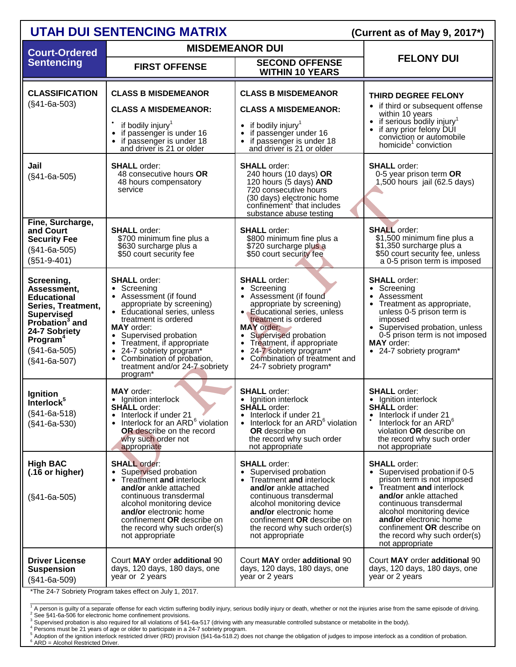| <b>UTAH DUI SENTENCING MATRIX</b>                                                                                                                                                                     | (Current as of May 9, 2017*)                                                                                                                                                                                                                                                                                                                        |                                                                                                                                                                                                                                                                                                                     |                                                                                                                                                                                                                                                                                                            |
|-------------------------------------------------------------------------------------------------------------------------------------------------------------------------------------------------------|-----------------------------------------------------------------------------------------------------------------------------------------------------------------------------------------------------------------------------------------------------------------------------------------------------------------------------------------------------|---------------------------------------------------------------------------------------------------------------------------------------------------------------------------------------------------------------------------------------------------------------------------------------------------------------------|------------------------------------------------------------------------------------------------------------------------------------------------------------------------------------------------------------------------------------------------------------------------------------------------------------|
| <b>Court-Ordered</b>                                                                                                                                                                                  |                                                                                                                                                                                                                                                                                                                                                     | <b>MISDEMEANOR DUI</b>                                                                                                                                                                                                                                                                                              |                                                                                                                                                                                                                                                                                                            |
| <b>Sentencing</b>                                                                                                                                                                                     | <b>FIRST OFFENSE</b>                                                                                                                                                                                                                                                                                                                                | <b>SECOND OFFENSE</b><br><b>WITHIN 10 YEARS</b>                                                                                                                                                                                                                                                                     | <b>FELONY DUI</b>                                                                                                                                                                                                                                                                                          |
| <b>CLASSIFICATION</b><br>$(S41-6a-503)$                                                                                                                                                               | <b>CLASS B MISDEMEANOR</b><br><b>CLASS A MISDEMEANOR:</b><br>if bodily injury <sup>1</sup><br>if passenger is under 16<br>if passenger is under 18<br>and driver is 21 or older                                                                                                                                                                     | <b>CLASS B MISDEMEANOR</b><br><b>CLASS A MISDEMEANOR:</b><br>• if bodily injury <sup>1</sup><br>if passenger under 16<br>if passenger is under 18<br>and driver is 21 or older                                                                                                                                      | THIRD DEGREE FELONY<br>• if third or subsequent offense<br>within 10 years<br>• if serious bodily injury <sup>1</sup><br>• if any prior felony DUI<br>conviction or automobile<br>homicide <sup>1</sup> conviction                                                                                         |
| Jail<br>$(S41-6a-505)$                                                                                                                                                                                | <b>SHALL</b> order:<br>48 consecutive hours OR<br>48 hours compensatory<br>service                                                                                                                                                                                                                                                                  | <b>SHALL</b> order:<br>240 hours (10 days) OR<br>120 hours (5 days) AND<br>720 consecutive hours<br>(30 days) electronic home<br>confinement <sup>2</sup> that includes<br>substance abuse testing                                                                                                                  | <b>SHALL</b> order:<br>0-5 year prison term OR<br>$1,500$ hours jail (62.5 days)                                                                                                                                                                                                                           |
| Fine, Surcharge,<br>and Court<br><b>Security Fee</b><br>$(S41-6a-505)$<br>$(S51-9-401)$                                                                                                               | <b>SHALL</b> order:<br>\$700 minimum fine plus a<br>\$630 surcharge plus a<br>\$50 court security fee                                                                                                                                                                                                                                               | <b>SHALL</b> order:<br>\$800 minimum fine plus a<br>\$720 surcharge plus a<br>\$50 court security fee                                                                                                                                                                                                               | <b>SHALL</b> order:<br>\$1,500 minimum fine plus a<br>\$1,350 surcharge plus a<br>\$50 court security fee, unless<br>a 0-5 prison term is imposed                                                                                                                                                          |
| Screening,<br>Assessment,<br><b>Educational</b><br>Series, Treatment,<br><b>Supervised</b><br>Probation <sup>3</sup> and<br>24-7 Sobriety<br>Program <sup>4</sup><br>$(S41-6a-505)$<br>$(S41-6a-507)$ | <b>SHALL</b> order:<br>• Screening<br>• Assessment (if found<br>appropriate by screening)<br>• Educational series, unless<br>treatment is ordered<br><b>MAY</b> order:<br>• Supervised probation<br>• Treatment, if appropriate<br>• 24-7 sobriety program*<br>Combination of probation,<br>$\bullet$<br>treatment and/or 24-7 sobriety<br>program* | <b>SHALL</b> order:<br>• Screening<br>• Assessment (if found<br>appropriate by screening)<br>• Educational series, unless<br>treatment is ordered<br><b>MAY</b> order:<br>Supervised probation<br>Treatment, if appropriate<br>• 24-7 sobriety program*<br>• Combination of treatment and<br>24-7 sobriety program* | <b>SHALL</b> order:<br>• Screening<br>• Assessment<br>Treatment as appropriate,<br>unless 0-5 prison term is<br>imposed<br>• Supervised probation, unless<br>0-5 prison term is not imposed<br><b>MAY</b> order:<br>• 24-7 sobriety program*                                                               |
| Ignition<br>Interlock <sup>3</sup><br>$(S41-6a-518)$<br>$(S41-6a-530)$                                                                                                                                | <b>MAY</b> order:<br>Ignition interlock<br><b>SHALL</b> order:<br>Interlock if under 21<br>Interlock for an ARD <sup>6</sup> violation<br>$\bullet$<br><b>OR</b> describe on the record<br>why such order not<br>appropriate                                                                                                                        | <b>SHALL</b> order:<br>· Ignition interlock<br><b>SHALL</b> order:<br>Interlock if under 21<br>• Interlock for an ARD <sup>6</sup> violation<br><b>OR</b> describe on<br>the record why such order<br>not appropriate                                                                                               | <b>SHALL</b> order:<br>• Ignition interlock<br><b>SHALL</b> order:<br>Interlock if under 21<br>Interlock for an ARD <sup>6</sup><br>violation OR describe on<br>the record why such order<br>not appropriate                                                                                               |
| <b>High BAC</b><br>(.16 or higher)<br>$(S41-6a-505)$                                                                                                                                                  | <b>SHALL</b> order:<br>Supervised probation<br>Treatment and interlock<br>and/or ankle attached<br>continuous transdermal<br>alcohol monitoring device<br>and/or electronic home<br>confinement OR describe on<br>the record why such order(s)<br>not appropriate                                                                                   | <b>SHALL</b> order:<br>Supervised probation<br>Treatment and interlock<br>and/or ankle attached<br>continuous transdermal<br>alcohol monitoring device<br>and/or electronic home<br>confinement OR describe on<br>the record why such order(s)<br>not appropriate                                                   | <b>SHALL</b> order:<br>• Supervised probation if 0-5<br>prison term is not imposed<br>• Treatment and interlock<br>and/or ankle attached<br>continuous transdermal<br>alcohol monitoring device<br>and/or electronic home<br>confinement OR describe on<br>the record why such order(s)<br>not appropriate |
| <b>Driver License</b><br><b>Suspension</b><br>$(S41-6a-509)$                                                                                                                                          | Court MAY order additional 90<br>days, 120 days, 180 days, one<br>year or 2 years<br>*The 24-7 Sobriety Program takes effect on July 1, 2017.                                                                                                                                                                                                       | Court MAY order additional 90<br>days, 120 days, 180 days, one<br>year or 2 years                                                                                                                                                                                                                                   | Court MAY order additional 90<br>days, 120 days, 180 days, one<br>year or 2 years                                                                                                                                                                                                                          |

s effect o

\_\_\_\_\_\_\_\_\_\_\_\_\_\_\_\_\_\_\_ <sup>1</sup> A person is guilty of a separate offense for each victim suffering bodily injury, serious bodily injury or death, whether or not the injuries arise from the same episode of driving.<br><sup>2</sup> See §41-6a-506 for electronic h

<span id="page-0-0"></span>